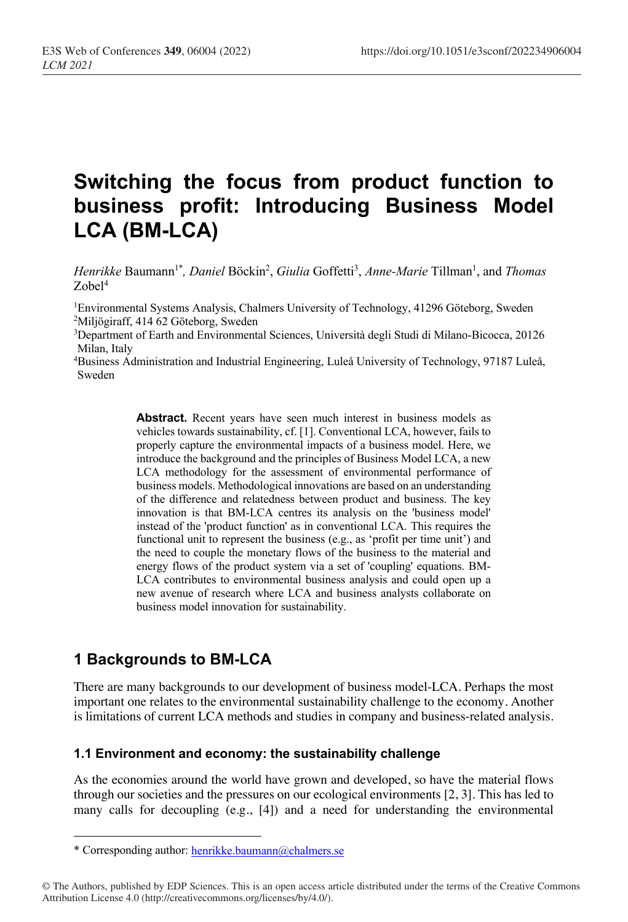# **Switching the focus from product function to business profit: Introducing Business Model LCA (BM-LCA)**

Henrikke Baumann<sup>1\*</sup>, *Daniel* Böckin<sup>2</sup>, *Giulia* Goffetti<sup>3</sup>, *Anne-Marie* Tillman<sup>1</sup>, and *Thomas* Zobel<sup>4</sup>

<sup>1</sup>Environmental Systems Analysis, Chalmers University of Technology, 41296 Göteborg, Sweden 2 Miljögiraff, 414 62 Göteborg, Sweden

3 Department of Earth and Environmental Sciences, Università degli Studi di Milano-Bicocca, 20126 Milan, Italy

4 Business Administration and Industrial Engineering, Luleå University of Technology, 97187 Luleå, Sweden

> **Abstract.** Recent years have seen much interest in business models as vehicles towards sustainability, cf. [1]. Conventional LCA, however, fails to properly capture the environmental impacts of a business model. Here, we introduce the background and the principles of Business Model LCA, a new LCA methodology for the assessment of environmental performance of business models. Methodological innovations are based on an understanding of the difference and relatedness between product and business. The key innovation is that BM-LCA centres its analysis on the 'business model' instead of the 'product function' as in conventional LCA. This requires the functional unit to represent the business (e.g., as 'profit per time unit') and the need to couple the monetary flows of the business to the material and energy flows of the product system via a set of 'coupling' equations. BM-LCA contributes to environmental business analysis and could open up a new avenue of research where LCA and business analysts collaborate on business model innovation for sustainability.

# **1 Backgrounds to BM-LCA**

There are many backgrounds to our development of business model-LCA. Perhaps the most important one relates to the environmental sustainability challenge to the economy. Another is limitations of current LCA methods and studies in company and business-related analysis.

### **1.1 Environment and economy: the sustainability challenge**

As the economies around the world have grown and developed, so have the material flows through our societies and the pressures on our ecological environments [2, 3]. This has led to many calls for decoupling (e.g., [4]) and a need for understanding the environmental

<sup>\*</sup> Corresponding author: henrikke.baumann@chalmers.se

<sup>©</sup> The Authors, published by EDP Sciences. This is an open access article distributed under the terms of the Creative Commons Attribution License 4.0 (http://creativecommons.org/licenses/by/4.0/).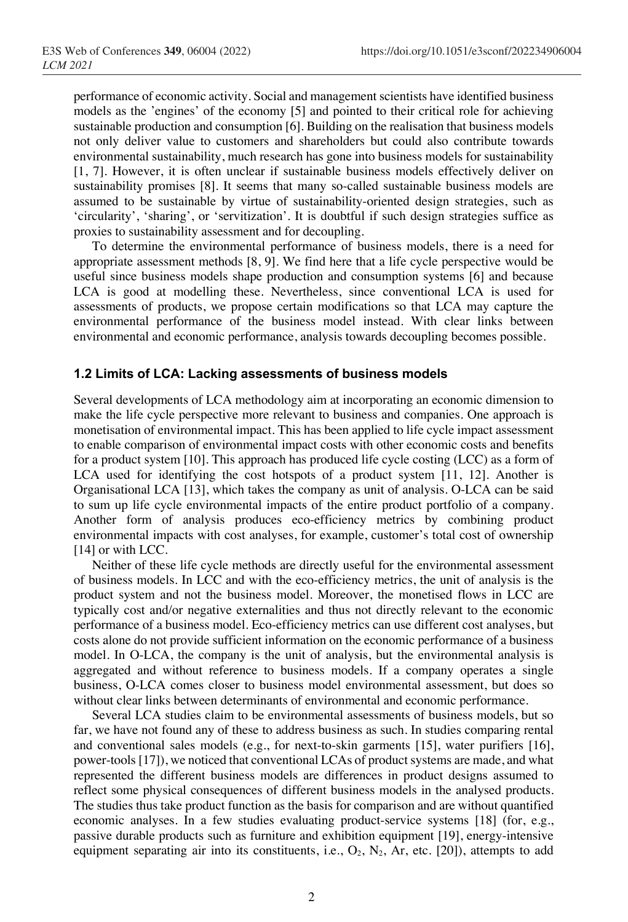performance of economic activity. Social and management scientists have identified business models as the 'engines' of the economy [5] and pointed to their critical role for achieving sustainable production and consumption [6]. Building on the realisation that business models not only deliver value to customers and shareholders but could also contribute towards environmental sustainability, much research has gone into business models for sustainability [1, 7]. However, it is often unclear if sustainable business models effectively deliver on sustainability promises [8]. It seems that many so-called sustainable business models are assumed to be sustainable by virtue of sustainability-oriented design strategies, such as 'circularity', 'sharing', or 'servitization'. It is doubtful if such design strategies suffice as proxies to sustainability assessment and for decoupling.

To determine the environmental performance of business models, there is a need for appropriate assessment methods [8, 9]. We find here that a life cycle perspective would be useful since business models shape production and consumption systems [6] and because LCA is good at modelling these. Nevertheless, since conventional LCA is used for assessments of products, we propose certain modifications so that LCA may capture the environmental performance of the business model instead. With clear links between environmental and economic performance, analysis towards decoupling becomes possible.

#### **1.2 Limits of LCA: Lacking assessments of business models**

Several developments of LCA methodology aim at incorporating an economic dimension to make the life cycle perspective more relevant to business and companies. One approach is monetisation of environmental impact. This has been applied to life cycle impact assessment to enable comparison of environmental impact costs with other economic costs and benefits for a product system [10]. This approach has produced life cycle costing (LCC) as a form of LCA used for identifying the cost hotspots of a product system [11, 12]. Another is Organisational LCA [13], which takes the company as unit of analysis. O-LCA can be said to sum up life cycle environmental impacts of the entire product portfolio of a company. Another form of analysis produces eco-efficiency metrics by combining product environmental impacts with cost analyses, for example, customer's total cost of ownership [14] or with LCC.

Neither of these life cycle methods are directly useful for the environmental assessment of business models. In LCC and with the eco-efficiency metrics, the unit of analysis is the product system and not the business model. Moreover, the monetised flows in LCC are typically cost and/or negative externalities and thus not directly relevant to the economic performance of a business model. Eco-efficiency metrics can use different cost analyses, but costs alone do not provide sufficient information on the economic performance of a business model. In O-LCA, the company is the unit of analysis, but the environmental analysis is aggregated and without reference to business models. If a company operates a single business, O-LCA comes closer to business model environmental assessment, but does so without clear links between determinants of environmental and economic performance.

Several LCA studies claim to be environmental assessments of business models, but so far, we have not found any of these to address business as such. In studies comparing rental and conventional sales models (e.g., for next-to-skin garments  $[15]$ , water purifiers  $[16]$ , power-tools [17]), we noticed that conventional LCAs of product systems are made, and what represented the different business models are differences in product designs assumed to reflect some physical consequences of different business models in the analysed products. The studies thus take product function as the basis for comparison and are without quantified economic analyses. In a few studies evaluating product-service systems [18] (for, e.g., passive durable products such as furniture and exhibition equipment [19], energy-intensive equipment separating air into its constituents, i.e.,  $O_2$ ,  $N_2$ ,  $Ar$ , etc. [20]), attempts to add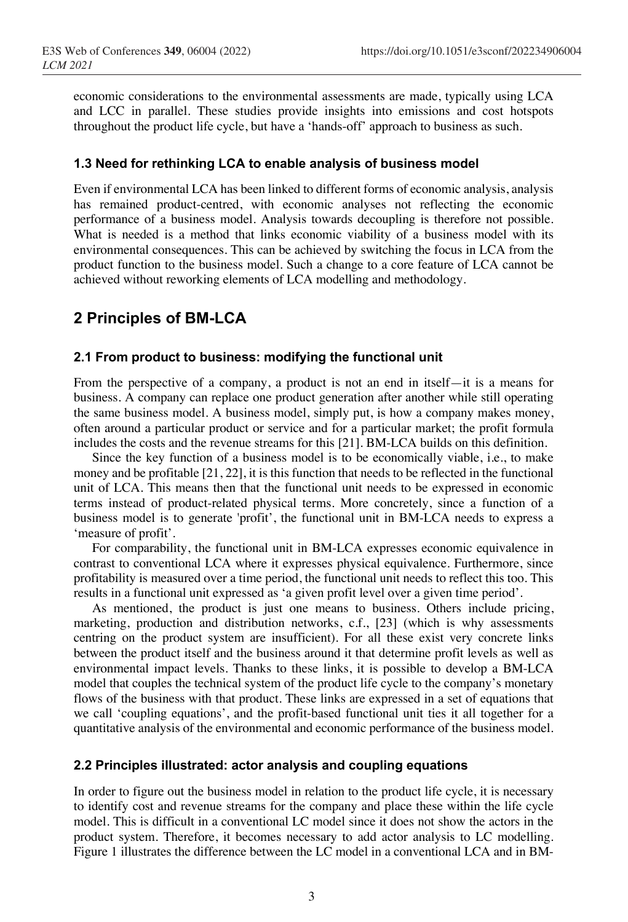economic considerations to the environmental assessments are made, typically using LCA and LCC in parallel. These studies provide insights into emissions and cost hotspots throughout the product life cycle, but have a 'hands-off' approach to business as such.

#### **1.3 Need for rethinking LCA to enable analysis of business model**

Even if environmental LCA has been linked to different forms of economic analysis, analysis has remained product-centred, with economic analyses not reflecting the economic performance of a business model. Analysis towards decoupling is therefore not possible. What is needed is a method that links economic viability of a business model with its environmental consequences. This can be achieved by switching the focus in LCA from the product function to the business model. Such a change to a core feature of LCA cannot be achieved without reworking elements of LCA modelling and methodology.

# **2 Principles of BM-LCA**

#### **2.1 From product to business: modifying the functional unit**

From the perspective of a company, a product is not an end in itself—it is a means for business. A company can replace one product generation after another while still operating the same business model. A business model, simply put, is how a company makes money, often around a particular product or service and for a particular market; the profit formula includes the costs and the revenue streams for this [21]. BM-LCA builds on this definition.

Since the key function of a business model is to be economically viable, i.e., to make money and be profitable [21, 22], it is this function that needs to be reflected in the functional unit of LCA. This means then that the functional unit needs to be expressed in economic terms instead of product-related physical terms. More concretely, since a function of a business model is to generate 'profit', the functional unit in BM-LCA needs to express a 'measure of profit'.

For comparability, the functional unit in BM-LCA expresses economic equivalence in contrast to conventional LCA where it expresses physical equivalence. Furthermore, since profitability is measured over a time period, the functional unit needs to reflect this too. This results in a functional unit expressed as 'a given profit level over a given time period'.

As mentioned, the product is just one means to business. Others include pricing, marketing, production and distribution networks, c.f., [23] (which is why assessments centring on the product system are insufficient). For all these exist very concrete links between the product itself and the business around it that determine profit levels as well as environmental impact levels. Thanks to these links, it is possible to develop a BM-LCA model that couples the technical system of the product life cycle to the company's monetary flows of the business with that product. These links are expressed in a set of equations that we call 'coupling equations', and the profit-based functional unit ties it all together for a quantitative analysis of the environmental and economic performance of the business model.

#### **2.2 Principles illustrated: actor analysis and coupling equations**

In order to figure out the business model in relation to the product life cycle, it is necessary to identify cost and revenue streams for the company and place these within the life cycle model. This is difficult in a conventional LC model since it does not show the actors in the product system. Therefore, it becomes necessary to add actor analysis to LC modelling. Figure 1 illustrates the difference between the LC model in a conventional LCA and in BM-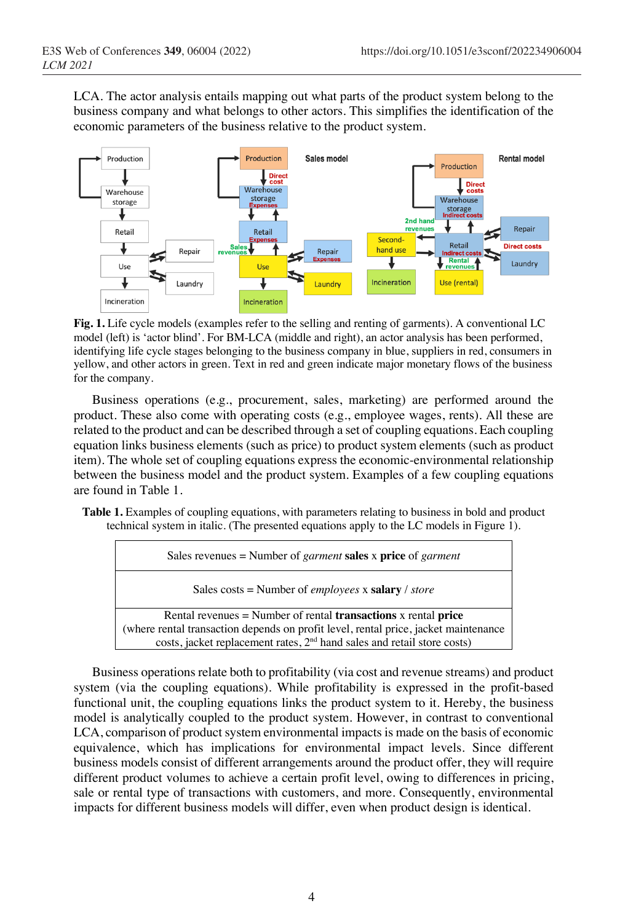LCA. The actor analysis entails mapping out what parts of the product system belong to the business company and what belongs to other actors. This simplifies the identification of the economic parameters of the business relative to the product system.



**Fig. 1.** Life cycle models (examples refer to the selling and renting of garments). A conventional LC model (left) is 'actor blind'. For BM-LCA (middle and right), an actor analysis has been performed, identifying life cycle stages belonging to the business company in blue, suppliers in red, consumers in yellow, and other actors in green. Text in red and green indicate major monetary flows of the business for the company.

Business operations (e.g., procurement, sales, marketing) are performed around the product. These also come with operating costs (e.g., employee wages, rents). All these are related to the product and can be described through a set of coupling equations. Each coupling equation links business elements (such as price) to product system elements (such as product item). The whole set of coupling equations express the economic-environmental relationship between the business model and the product system. Examples of a few coupling equations are found in Table 1.

**Table 1.** Examples of coupling equations, with parameters relating to business in bold and product technical system in italic. (The presented equations apply to the LC models in Figure 1).

Sales revenues = Number of *garment* **sales** x **price** of *garment* Sales costs = Number of *employees* x **salary** / *store* Rental revenues = Number of rental **transactions** x rental **price** (where rental transaction depends on profit level, rental price, jacket maintenance costs, jacket replacement rates, 2nd hand sales and retail store costs)

Business operations relate both to profitability (via cost and revenue streams) and product system (via the coupling equations). While profitability is expressed in the profit-based functional unit, the coupling equations links the product system to it. Hereby, the business model is analytically coupled to the product system. However, in contrast to conventional LCA, comparison of product system environmental impacts is made on the basis of economic equivalence, which has implications for environmental impact levels. Since different business models consist of different arrangements around the product offer, they will require different product volumes to achieve a certain profit level, owing to differences in pricing, sale or rental type of transactions with customers, and more. Consequently, environmental impacts for different business models will differ, even when product design is identical.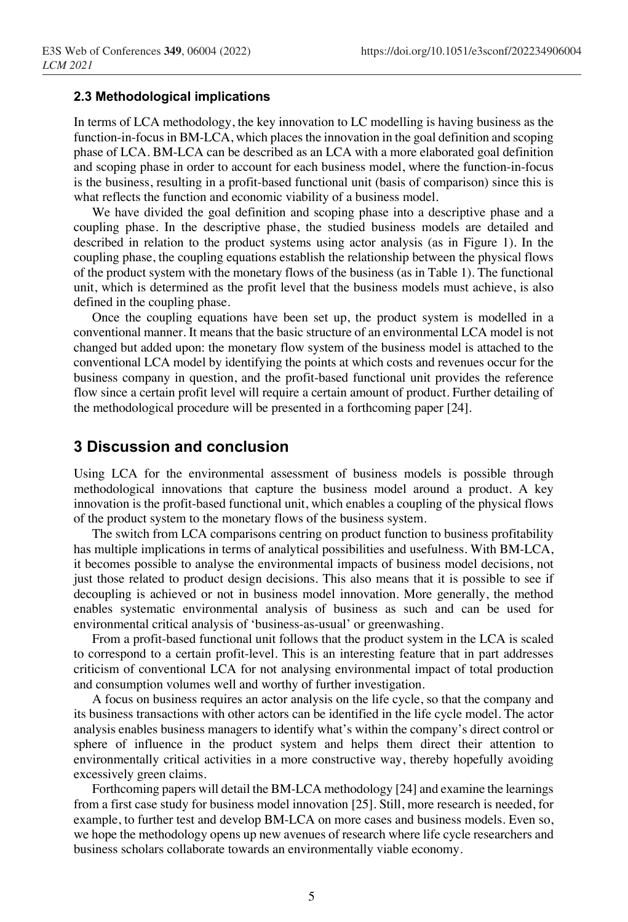#### **2.3 Methodological implications**

In terms of LCA methodology, the key innovation to LC modelling is having business as the function-in-focus in BM-LCA, which places the innovation in the goal definition and scoping phase of LCA. BM-LCA can be described as an LCA with a more elaborated goal definition and scoping phase in order to account for each business model, where the function-in-focus is the business, resulting in a profit-based functional unit (basis of comparison) since this is what reflects the function and economic viability of a business model.

We have divided the goal definition and scoping phase into a descriptive phase and a coupling phase. In the descriptive phase, the studied business models are detailed and described in relation to the product systems using actor analysis (as in Figure 1). In the coupling phase, the coupling equations establish the relationship between the physical flows of the product system with the monetary flows of the business (as in Table 1). The functional unit, which is determined as the profit level that the business models must achieve, is also defined in the coupling phase.

Once the coupling equations have been set up, the product system is modelled in a conventional manner. It means that the basic structure of an environmental LCA model is not changed but added upon: the monetary flow system of the business model is attached to the conventional LCA model by identifying the points at which costs and revenues occur for the business company in question, and the profit-based functional unit provides the reference flow since a certain profit level will require a certain amount of product. Further detailing of the methodological procedure will be presented in a forthcoming paper [24].

## **3 Discussion and conclusion**

Using LCA for the environmental assessment of business models is possible through methodological innovations that capture the business model around a product. A key innovation is the profit-based functional unit, which enables a coupling of the physical flows of the product system to the monetary flows of the business system.

The switch from LCA comparisons centring on product function to business profitability has multiple implications in terms of analytical possibilities and usefulness. With BM-LCA, it becomes possible to analyse the environmental impacts of business model decisions, not just those related to product design decisions. This also means that it is possible to see if decoupling is achieved or not in business model innovation. More generally, the method enables systematic environmental analysis of business as such and can be used for environmental critical analysis of 'business-as-usual' or greenwashing.

From a profit-based functional unit follows that the product system in the LCA is scaled to correspond to a certain profit-level. This is an interesting feature that in part addresses criticism of conventional LCA for not analysing environmental impact of total production and consumption volumes well and worthy of further investigation.

A focus on business requires an actor analysis on the life cycle, so that the company and its business transactions with other actors can be identified in the life cycle model. The actor analysis enables business managers to identify what's within the company's direct control or sphere of influence in the product system and helps them direct their attention to environmentally critical activities in a more constructive way, thereby hopefully avoiding excessively green claims.

Forthcoming papers will detail the BM-LCA methodology [24] and examine the learnings from a first case study for business model innovation [25]. Still, more research is needed, for example, to further test and develop BM-LCA on more cases and business models. Even so, we hope the methodology opens up new avenues of research where life cycle researchers and business scholars collaborate towards an environmentally viable economy.